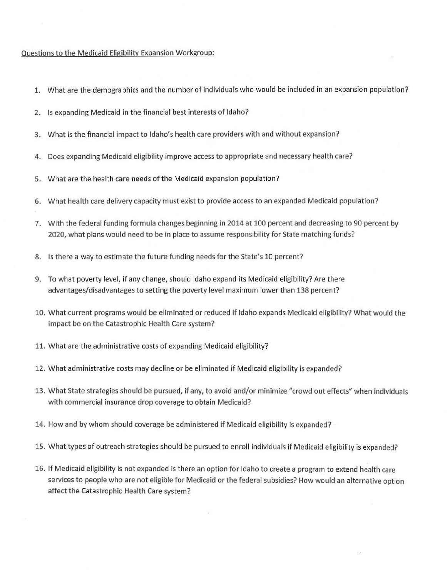## Questions to the Medicaid Eligibility Expansion Workgroup:

- 1. What are the demographics and the number of individuals who would be included in an expansion population?
- 2. Is expanding Medicaid in the financial best interests of Idaho?
- 3. What is the financial impact to Idaho's health care providers with and without expansion?
- 4. Does expanding Medicaid eligibility improve access to appropriate and necessary health care?
- 5. What are the health care needs of the Medicaid expansion population?
- 6. What health care delivery capacity must exist to provide access to an expanded Medicaid population?
- 7. With the federal funding formula changes beginning in 2014 at 100 percent and decreasing to 90 percent by 2020, what plans would need to be in place to assume responsibility for State matching funds?
- 8. Is there a way to estimate the future funding needs for the State's 10 percent?
- 9. To what poverty level, if any change, should Idaho expand its Medicaid eligibility? Are there advantages/disadvantages to setting the poverty level maximum lower than 138 percent?
- 10. What current programs would be eliminated or reduced if Idaho expands Medicaid eligibility? What would the impact be on the Catastrophic Health Care system?
- 11. What are the administrative costs of expanding Medicaid eligibility?
- 12. What administrative costs may decline or be eliminated if Medicaid eligibility is expanded?
- 13. What State strategies should be pursued, if any, to avoid and/or minimize "crowd out effects" when individuals with commercial insurance drop coverage to obtain Medicaid?
- 14. How and by whom should coverage be administered if Medicaid eligibility is expanded?
- 15. What types of outreach strategies should be pursued to enroll individuals if Medicaid eligibility is expanded?
- 16. If Medicaid eligibility is not expanded is there an option for Idaho to create a program to extend health care services to people who are not eligible for Medicaid or the federal subsidies? How would an alternative option affect the Catastrophic Health Care system?